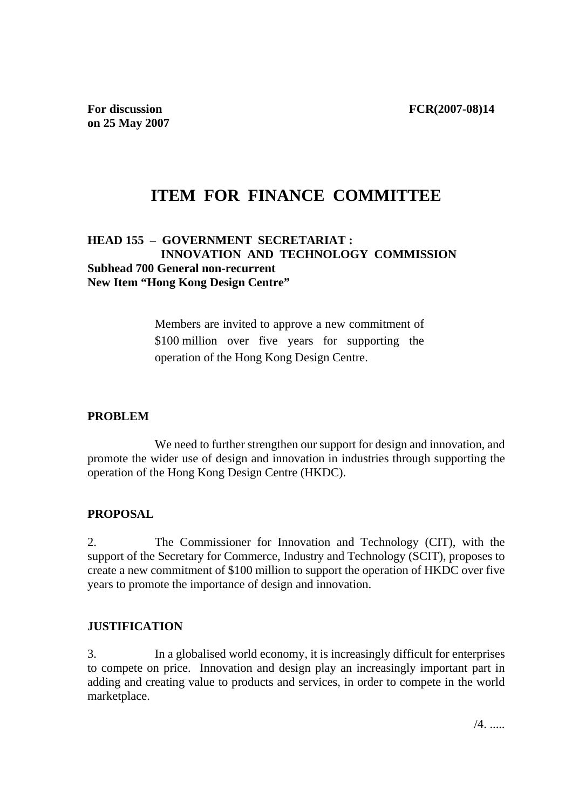# **ITEM FOR FINANCE COMMITTEE**

### **HEAD 155 – GOVERNMENT SECRETARIAT : INNOVATION AND TECHNOLOGY COMMISSION Subhead 700 General non-recurrent New Item "Hong Kong Design Centre"**

Members are invited to approve a new commitment of \$100 million over five years for supporting the operation of the Hong Kong Design Centre.

### **PROBLEM**

We need to further strengthen our support for design and innovation, and promote the wider use of design and innovation in industries through supporting the operation of the Hong Kong Design Centre (HKDC).

## **PROPOSAL**

2. The Commissioner for Innovation and Technology (CIT), with the support of the Secretary for Commerce, Industry and Technology (SCIT), proposes to create a new commitment of \$100 million to support the operation of HKDC over five years to promote the importance of design and innovation.

### **JUSTIFICATION**

3. In a globalised world economy, it is increasingly difficult for enterprises to compete on price. Innovation and design play an increasingly important part in adding and creating value to products and services, in order to compete in the world marketplace.

 $/4$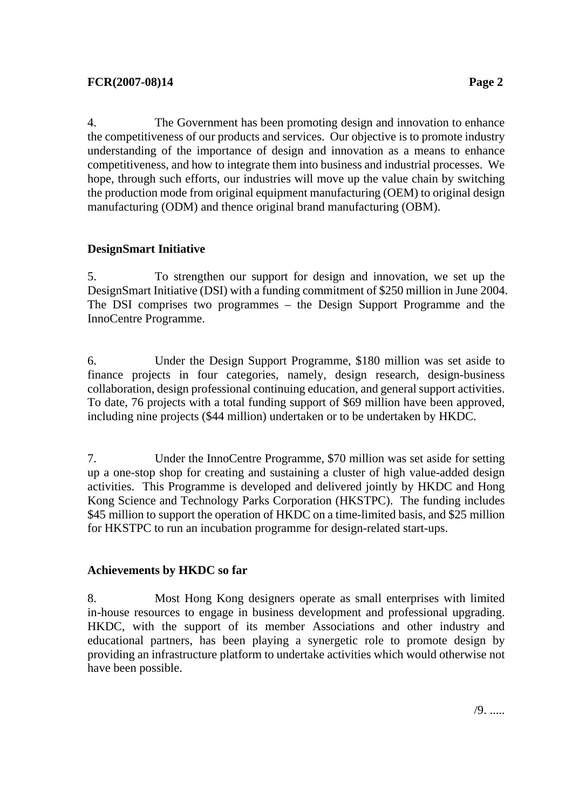4. The Government has been promoting design and innovation to enhance the competitiveness of our products and services. Our objective is to promote industry understanding of the importance of design and innovation as a means to enhance competitiveness, and how to integrate them into business and industrial processes. We hope, through such efforts, our industries will move up the value chain by switching the production mode from original equipment manufacturing (OEM) to original design manufacturing (ODM) and thence original brand manufacturing (OBM).

### **DesignSmart Initiative**

5. To strengthen our support for design and innovation, we set up the DesignSmart Initiative (DSI) with a funding commitment of \$250 million in June 2004. The DSI comprises two programmes – the Design Support Programme and the InnoCentre Programme.

6. Under the Design Support Programme, \$180 million was set aside to finance projects in four categories, namely, design research, design-business collaboration, design professional continuing education, and general support activities. To date, 76 projects with a total funding support of \$69 million have been approved, including nine projects (\$44 million) undertaken or to be undertaken by HKDC.

7. Under the InnoCentre Programme, \$70 million was set aside for setting up a one-stop shop for creating and sustaining a cluster of high value-added design activities. This Programme is developed and delivered jointly by HKDC and Hong Kong Science and Technology Parks Corporation (HKSTPC). The funding includes \$45 million to support the operation of HKDC on a time-limited basis, and \$25 million for HKSTPC to run an incubation programme for design-related start-ups.

### **Achievements by HKDC so far**

8. Most Hong Kong designers operate as small enterprises with limited in-house resources to engage in business development and professional upgrading. HKDC, with the support of its member Associations and other industry and educational partners, has been playing a synergetic role to promote design by providing an infrastructure platform to undertake activities which would otherwise not have been possible.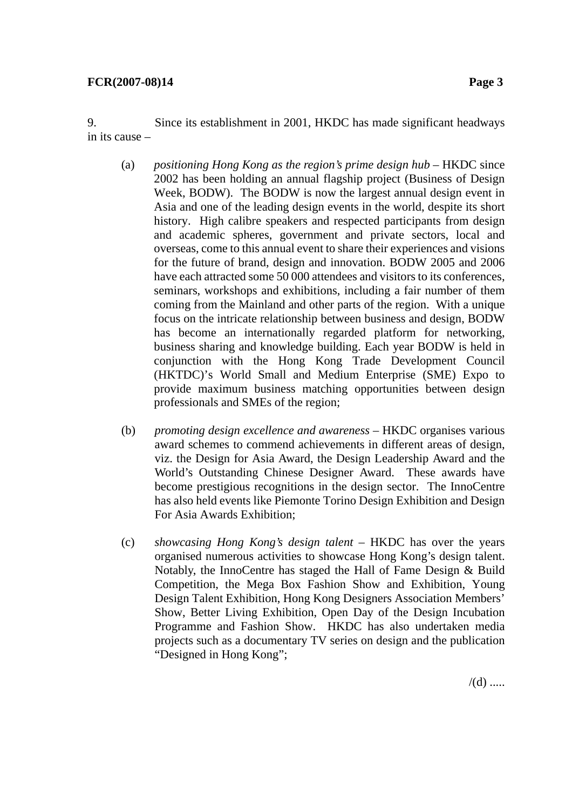9. Since its establishment in 2001, HKDC has made significant headways in its cause –

- (a) *positioning Hong Kong as the region's prime design hub* HKDC since 2002 has been holding an annual flagship project (Business of Design Week, BODW). The BODW is now the largest annual design event in Asia and one of the leading design events in the world, despite its short history. High calibre speakers and respected participants from design and academic spheres, government and private sectors, local and overseas, come to this annual event to share their experiences and visions for the future of brand, design and innovation. BODW 2005 and 2006 have each attracted some 50 000 attendees and visitors to its conferences, seminars, workshops and exhibitions, including a fair number of them coming from the Mainland and other parts of the region. With a unique focus on the intricate relationship between business and design, BODW has become an internationally regarded platform for networking, business sharing and knowledge building. Each year BODW is held in conjunction with the Hong Kong Trade Development Council (HKTDC)'s World Small and Medium Enterprise (SME) Expo to provide maximum business matching opportunities between design professionals and SMEs of the region;
- (b) *promoting design excellence and awareness*  HKDC organises various award schemes to commend achievements in different areas of design, viz. the Design for Asia Award, the Design Leadership Award and the World's Outstanding Chinese Designer Award. These awards have become prestigious recognitions in the design sector. The InnoCentre has also held events like Piemonte Torino Design Exhibition and Design For Asia Awards Exhibition;
- (c) *showcasing Hong Kong's design talent* HKDC has over the years organised numerous activities to showcase Hong Kong's design talent. Notably, the InnoCentre has staged the Hall of Fame Design & Build Competition, the Mega Box Fashion Show and Exhibition, Young Design Talent Exhibition, Hong Kong Designers Association Members' Show, Better Living Exhibition, Open Day of the Design Incubation Programme and Fashion Show. HKDC has also undertaken media projects such as a documentary TV series on design and the publication "Designed in Hong Kong";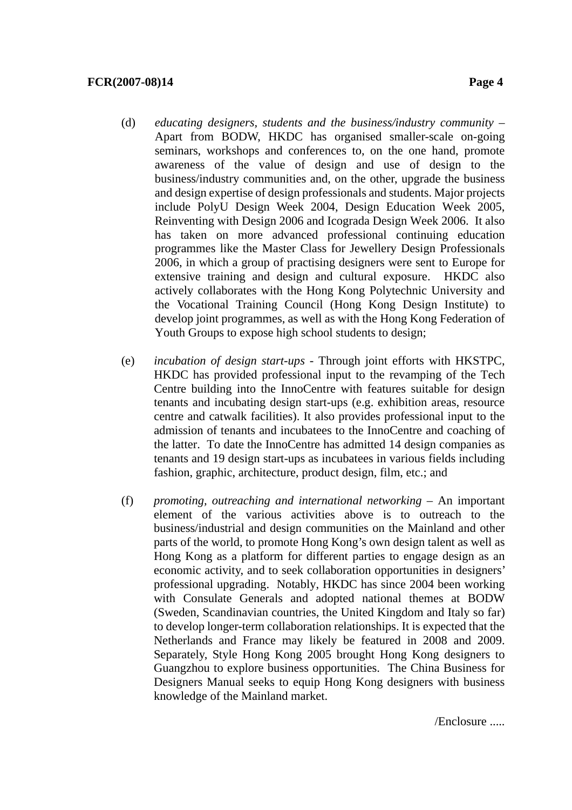- (d) *educating designers, students and the business/industry community* Apart from BODW, HKDC has organised smaller-scale on-going seminars, workshops and conferences to, on the one hand, promote awareness of the value of design and use of design to the business/industry communities and, on the other, upgrade the business and design expertise of design professionals and students. Major projects include PolyU Design Week 2004, Design Education Week 2005, Reinventing with Design 2006 and Icograda Design Week 2006. It also has taken on more advanced professional continuing education programmes like the Master Class for Jewellery Design Professionals 2006, in which a group of practising designers were sent to Europe for extensive training and design and cultural exposure. HKDC also actively collaborates with the Hong Kong Polytechnic University and the Vocational Training Council (Hong Kong Design Institute) to develop joint programmes, as well as with the Hong Kong Federation of Youth Groups to expose high school students to design;
- (e) *incubation of design start-ups*  Through joint efforts with HKSTPC, HKDC has provided professional input to the revamping of the Tech Centre building into the InnoCentre with features suitable for design tenants and incubating design start-ups (e.g. exhibition areas, resource centre and catwalk facilities). It also provides professional input to the admission of tenants and incubatees to the InnoCentre and coaching of the latter. To date the InnoCentre has admitted 14 design companies as tenants and 19 design start-ups as incubatees in various fields including fashion, graphic, architecture, product design, film, etc.; and
- (f) *promoting, outreaching and international networking* An important element of the various activities above is to outreach to the business/industrial and design communities on the Mainland and other parts of the world, to promote Hong Kong's own design talent as well as Hong Kong as a platform for different parties to engage design as an economic activity, and to seek collaboration opportunities in designers' professional upgrading. Notably, HKDC has since 2004 been working with Consulate Generals and adopted national themes at BODW (Sweden, Scandinavian countries, the United Kingdom and Italy so far) to develop longer-term collaboration relationships. It is expected that the Netherlands and France may likely be featured in 2008 and 2009. Separately, Style Hong Kong 2005 brought Hong Kong designers to Guangzhou to explore business opportunities. The China Business for Designers Manual seeks to equip Hong Kong designers with business knowledge of the Mainland market.

/Enclosure .....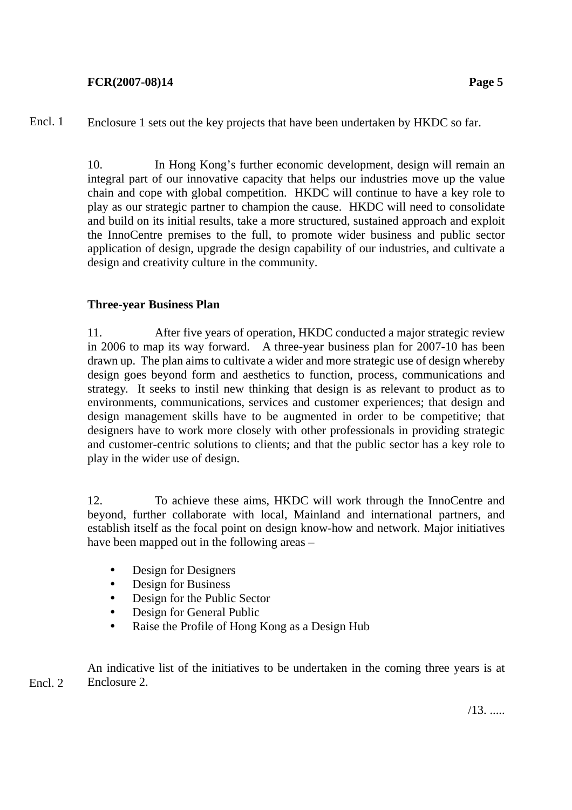Enclosure 1 sets out the key projects that have been undertaken by HKDC so far. Encl. 1

> 10. In Hong Kong's further economic development, design will remain an integral part of our innovative capacity that helps our industries move up the value chain and cope with global competition. HKDC will continue to have a key role to play as our strategic partner to champion the cause. HKDC will need to consolidate and build on its initial results, take a more structured, sustained approach and exploit the InnoCentre premises to the full, to promote wider business and public sector application of design, upgrade the design capability of our industries, and cultivate a design and creativity culture in the community.

### **Three-year Business Plan**

11. After five years of operation, HKDC conducted a major strategic review in 2006 to map its way forward. A three-year business plan for 2007-10 has been drawn up. The plan aims to cultivate a wider and more strategic use of design whereby design goes beyond form and aesthetics to function, process, communications and strategy. It seeks to instil new thinking that design is as relevant to product as to environments, communications, services and customer experiences; that design and design management skills have to be augmented in order to be competitive; that designers have to work more closely with other professionals in providing strategic and customer-centric solutions to clients; and that the public sector has a key role to play in the wider use of design.

12. To achieve these aims, HKDC will work through the InnoCentre and beyond, further collaborate with local, Mainland and international partners, and establish itself as the focal point on design know-how and network. Major initiatives have been mapped out in the following areas –

- Design for Designers
- Design for Business
- Design for the Public Sector
- Design for General Public
- Raise the Profile of Hong Kong as a Design Hub

An indicative list of the initiatives to be undertaken in the coming three years is at Enclosure 2. Encl. 2

/13. .....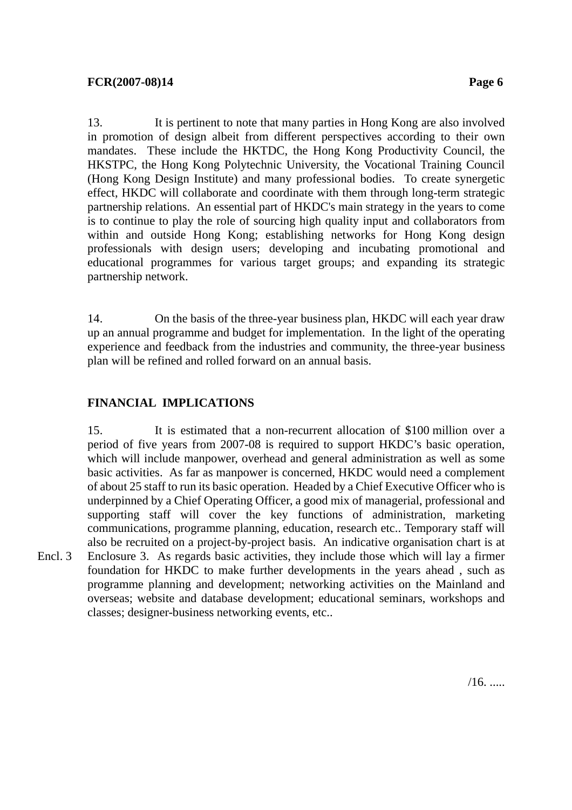13. It is pertinent to note that many parties in Hong Kong are also involved in promotion of design albeit from different perspectives according to their own mandates. These include the HKTDC, the Hong Kong Productivity Council, the HKSTPC, the Hong Kong Polytechnic University, the Vocational Training Council (Hong Kong Design Institute) and many professional bodies. To create synergetic effect, HKDC will collaborate and coordinate with them through long-term strategic partnership relations. An essential part of HKDC's main strategy in the years to come is to continue to play the role of sourcing high quality input and collaborators from within and outside Hong Kong; establishing networks for Hong Kong design professionals with design users; developing and incubating promotional and educational programmes for various target groups; and expanding its strategic partnership network.

14. On the basis of the three-year business plan, HKDC will each year draw up an annual programme and budget for implementation. In the light of the operating experience and feedback from the industries and community, the three-year business plan will be refined and rolled forward on an annual basis.

# **FINANCIAL IMPLICATIONS**

Encl. 3

15. It is estimated that a non-recurrent allocation of \$100 million over a period of five years from 2007-08 is required to support HKDC's basic operation, which will include manpower, overhead and general administration as well as some basic activities. As far as manpower is concerned, HKDC would need a complement of about 25 staff to run its basic operation. Headed by a Chief Executive Officer who is underpinned by a Chief Operating Officer, a good mix of managerial, professional and supporting staff will cover the key functions of administration, marketing communications, programme planning, education, research etc.. Temporary staff will also be recruited on a project-by-project basis. An indicative organisation chart is at Enclosure 3. As regards basic activities, they include those which will lay a firmer foundation for HKDC to make further developments in the years ahead , such as programme planning and development; networking activities on the Mainland and overseas; website and database development; educational seminars, workshops and classes; designer-business networking events, etc..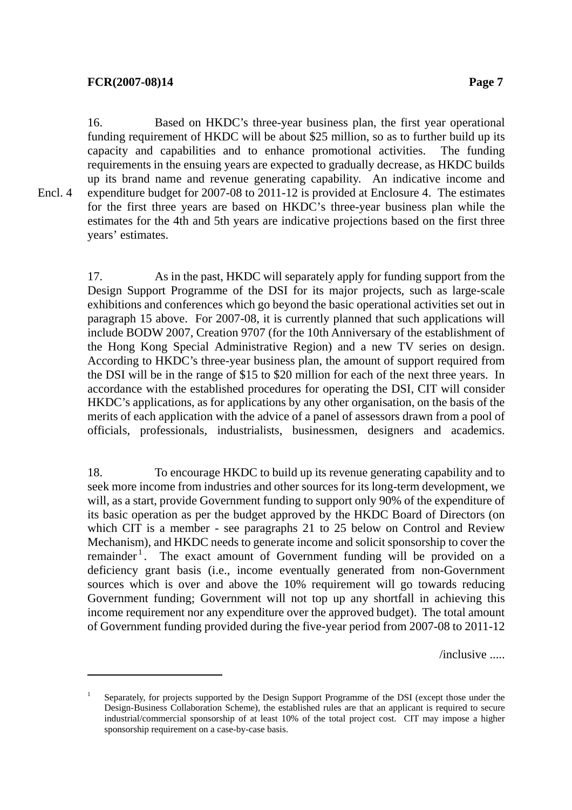-

16. Based on HKDC's three-year business plan, the first year operational funding requirement of HKDC will be about \$25 million, so as to further build up its capacity and capabilities and to enhance promotional activities. The funding requirements in the ensuing years are expected to gradually decrease, as HKDC builds up its brand name and revenue generating capability. An indicative income and expenditure budget for 2007-08 to 2011-12 is provided at Enclosure 4. The estimates for the first three years are based on HKDC's three-year business plan while the estimates for the 4th and 5th years are indicative projections based on the first three years' estimates. Encl. 4

> 17. As in the past, HKDC will separately apply for funding support from the Design Support Programme of the DSI for its major projects, such as large-scale exhibitions and conferences which go beyond the basic operational activities set out in paragraph 15 above. For 2007-08, it is currently planned that such applications will include BODW 2007, Creation 9707 (for the 10th Anniversary of the establishment of the Hong Kong Special Administrative Region) and a new TV series on design. According to HKDC's three-year business plan, the amount of support required from the DSI will be in the range of \$15 to \$20 million for each of the next three years. In accordance with the established procedures for operating the DSI, CIT will consider HKDC's applications, as for applications by any other organisation, on the basis of the merits of each application with the advice of a panel of assessors drawn from a pool of officials, professionals, industrialists, businessmen, designers and academics.

> 18. To encourage HKDC to build up its revenue generating capability and to seek more income from industries and other sources for its long-term development, we will, as a start, provide Government funding to support only 90% of the expenditure of its basic operation as per the budget approved by the HKDC Board of Directors (on which CIT is a member - see paragraphs 21 to 25 below on Control and Review Mechanism), and HKDC needs to generate income and solicit sponsorship to cover the remainder<sup>1</sup>. The exact amount of Government funding will be provided on a deficiency grant basis (i.e., income eventually generated from non-Government sources which is over and above the 10% requirement will go towards reducing Government funding; Government will not top up any shortfall in achieving this income requirement nor any expenditure over the approved budget). The total amount of Government funding provided during the five-year period from 2007-08 to 2011-12

> > /inclusive .....

<sup>1</sup> Separately, for projects supported by the Design Support Programme of the DSI (except those under the Design-Business Collaboration Scheme), the established rules are that an applicant is required to secure industrial/commercial sponsorship of at least 10% of the total project cost. CIT may impose a higher sponsorship requirement on a case-by-case basis.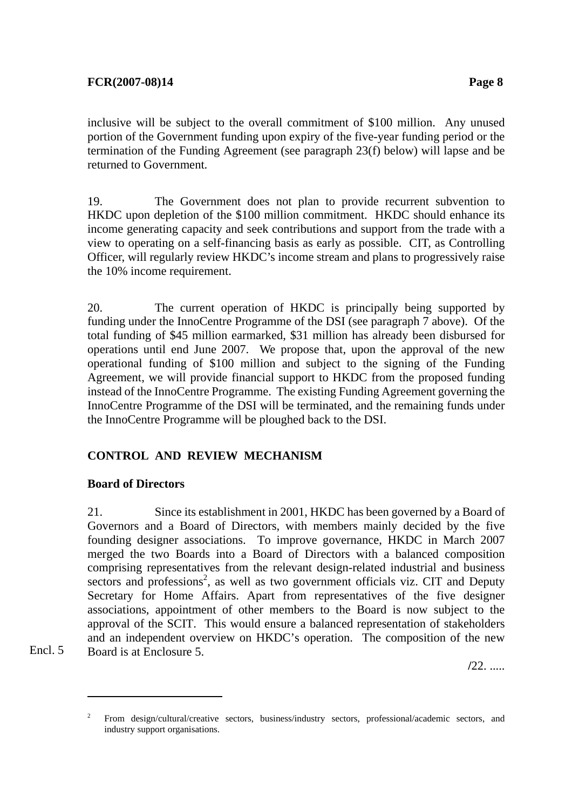inclusive will be subject to the overall commitment of \$100 million. Any unused portion of the Government funding upon expiry of the five-year funding period or the termination of the Funding Agreement (see paragraph 23(f) below) will lapse and be returned to Government.

19. The Government does not plan to provide recurrent subvention to HKDC upon depletion of the \$100 million commitment. HKDC should enhance its income generating capacity and seek contributions and support from the trade with a view to operating on a self-financing basis as early as possible. CIT, as Controlling Officer, will regularly review HKDC's income stream and plans to progressively raise the 10% income requirement.

20. The current operation of HKDC is principally being supported by funding under the InnoCentre Programme of the DSI (see paragraph 7 above). Of the total funding of \$45 million earmarked, \$31 million has already been disbursed for operations until end June 2007. We propose that, upon the approval of the new operational funding of \$100 million and subject to the signing of the Funding Agreement, we will provide financial support to HKDC from the proposed funding instead of the InnoCentre Programme. The existing Funding Agreement governing the InnoCentre Programme of the DSI will be terminated, and the remaining funds under the InnoCentre Programme will be ploughed back to the DSI.

## **CONTROL AND REVIEW MECHANISM**

## **Board of Directors**

1

Encl. 5

21. Since its establishment in 2001, HKDC has been governed by a Board of Governors and a Board of Directors, with members mainly decided by the five founding designer associations. To improve governance, HKDC in March 2007 merged the two Boards into a Board of Directors with a balanced composition comprising representatives from the relevant design-related industrial and business sectors and professions<sup>2</sup>, as well as two government officials viz. CIT and Deputy Secretary for Home Affairs. Apart from representatives of the five designer associations, appointment of other members to the Board is now subject to the approval of the SCIT. This would ensure a balanced representation of stakeholders and an independent overview on HKDC's operation. The composition of the new Board is at Enclosure 5.

**/**22. .....

<sup>2</sup> From design/cultural/creative sectors, business/industry sectors, professional/academic sectors, and industry support organisations.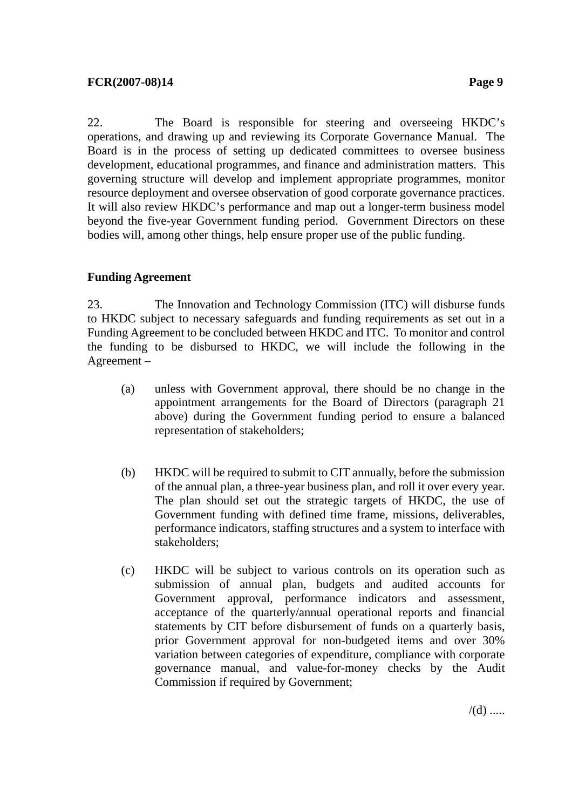22. The Board is responsible for steering and overseeing HKDC's operations, and drawing up and reviewing its Corporate Governance Manual. The Board is in the process of setting up dedicated committees to oversee business development, educational programmes, and finance and administration matters. This governing structure will develop and implement appropriate programmes, monitor resource deployment and oversee observation of good corporate governance practices. It will also review HKDC's performance and map out a longer-term business model beyond the five-year Government funding period. Government Directors on these bodies will, among other things, help ensure proper use of the public funding.

### **Funding Agreement**

23. The Innovation and Technology Commission (ITC) will disburse funds to HKDC subject to necessary safeguards and funding requirements as set out in a Funding Agreement to be concluded between HKDC and ITC. To monitor and control the funding to be disbursed to HKDC, we will include the following in the Agreement –

- (a) unless with Government approval, there should be no change in the appointment arrangements for the Board of Directors (paragraph 21 above) during the Government funding period to ensure a balanced representation of stakeholders;
- (b) HKDC will be required to submit to CIT annually, before the submission of the annual plan, a three-year business plan, and roll it over every year. The plan should set out the strategic targets of HKDC, the use of Government funding with defined time frame, missions, deliverables, performance indicators, staffing structures and a system to interface with stakeholders;
- (c) HKDC will be subject to various controls on its operation such as submission of annual plan, budgets and audited accounts for Government approval, performance indicators and assessment, acceptance of the quarterly/annual operational reports and financial statements by CIT before disbursement of funds on a quarterly basis, prior Government approval for non-budgeted items and over 30% variation between categories of expenditure, compliance with corporate governance manual, and value-for-money checks by the Audit Commission if required by Government;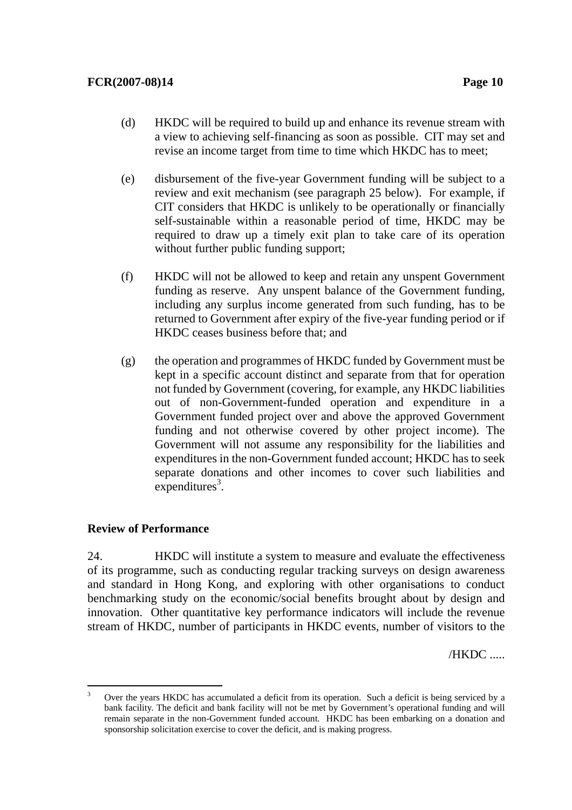- (d) HKDC will be required to build up and enhance its revenue stream with a view to achieving self-financing as soon as possible. CIT may set and revise an income target from time to time which HKDC has to meet;
- (e) disbursement of the five-year Government funding will be subject to a review and exit mechanism (see paragraph 25 below). For example, if CIT considers that HKDC is unlikely to be operationally or financially self-sustainable within a reasonable period of time, HKDC may be required to draw up a timely exit plan to take care of its operation without further public funding support;
- (f) HKDC will not be allowed to keep and retain any unspent Government funding as reserve. Any unspent balance of the Government funding, including any surplus income generated from such funding, has to be returned to Government after expiry of the five-year funding period or if HKDC ceases business before that; and
- (g) the operation and programmes of HKDC funded by Government must be kept in a specific account distinct and separate from that for operation not funded by Government (covering, for example, any HKDC liabilities out of non-Government-funded operation and expenditure in a Government funded project over and above the approved Government funding and not otherwise covered by other project income). The Government will not assume any responsibility for the liabilities and expenditures in the non-Government funded account; HKDC has to seek separate donations and other incomes to cover such liabilities and  $expenditures<sup>3</sup>$ .

### **Review of Performance**

24. HKDC will institute a system to measure and evaluate the effectiveness of its programme, such as conducting regular tracking surveys on design awareness and standard in Hong Kong, and exploring with other organisations to conduct benchmarking study on the economic/social benefits brought about by design and innovation. Other quantitative key performance indicators will include the revenue stream of HKDC, number of participants in HKDC events, number of visitors to the

/HKDC .....

 $\frac{1}{3}$  Over the years HKDC has accumulated a deficit from its operation. Such a deficit is being serviced by a bank facility. The deficit and bank facility will not be met by Government's operational funding and will remain separate in the non-Government funded account. HKDC has been embarking on a donation and sponsorship solicitation exercise to cover the deficit, and is making progress.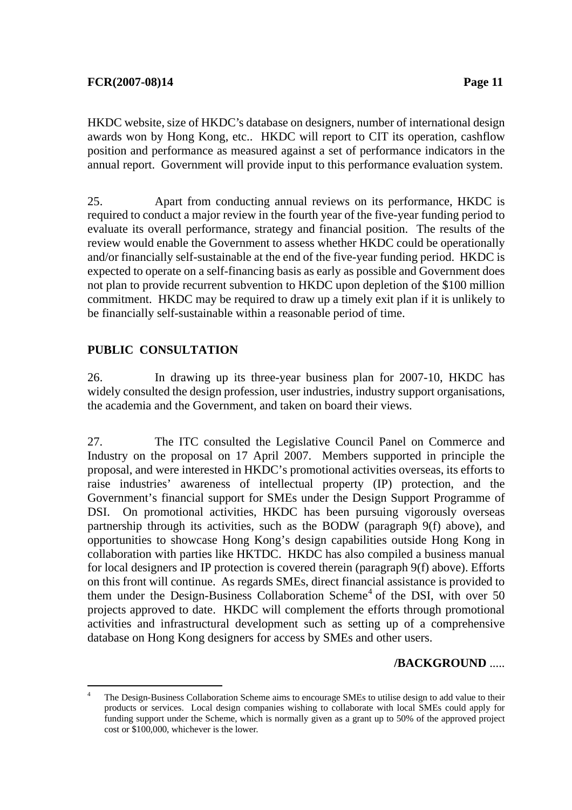HKDC website, size of HKDC's database on designers, number of international design awards won by Hong Kong, etc.. HKDC will report to CIT its operation, cashflow position and performance as measured against a set of performance indicators in the annual report. Government will provide input to this performance evaluation system.

25. Apart from conducting annual reviews on its performance, HKDC is required to conduct a major review in the fourth year of the five-year funding period to evaluate its overall performance, strategy and financial position. The results of the review would enable the Government to assess whether HKDC could be operationally and/or financially self-sustainable at the end of the five-year funding period. HKDC is expected to operate on a self-financing basis as early as possible and Government does not plan to provide recurrent subvention to HKDC upon depletion of the \$100 million commitment. HKDC may be required to draw up a timely exit plan if it is unlikely to be financially self-sustainable within a reasonable period of time.

# **PUBLIC CONSULTATION**

26. In drawing up its three-year business plan for 2007-10, HKDC has widely consulted the design profession, user industries, industry support organisations, the academia and the Government, and taken on board their views.

27. The ITC consulted the Legislative Council Panel on Commerce and Industry on the proposal on 17 April 2007. Members supported in principle the proposal, and were interested in HKDC's promotional activities overseas, its efforts to raise industries' awareness of intellectual property (IP) protection, and the Government's financial support for SMEs under the Design Support Programme of DSI. On promotional activities, HKDC has been pursuing vigorously overseas partnership through its activities, such as the BODW (paragraph 9(f) above), and opportunities to showcase Hong Kong's design capabilities outside Hong Kong in collaboration with parties like HKTDC. HKDC has also compiled a business manual for local designers and IP protection is covered therein (paragraph 9(f) above). Efforts on this front will continue. As regards SMEs, direct financial assistance is provided to them under the Design-Business Collaboration Scheme<sup>4</sup> of the DSI, with over 50 projects approved to date. HKDC will complement the efforts through promotional activities and infrastructural development such as setting up of a comprehensive database on Hong Kong designers for access by SMEs and other users.

## **/BACKGROUND** .....

 $\frac{1}{4}$  The Design-Business Collaboration Scheme aims to encourage SMEs to utilise design to add value to their products or services. Local design companies wishing to collaborate with local SMEs could apply for funding support under the Scheme, which is normally given as a grant up to 50% of the approved project cost or \$100,000, whichever is the lower.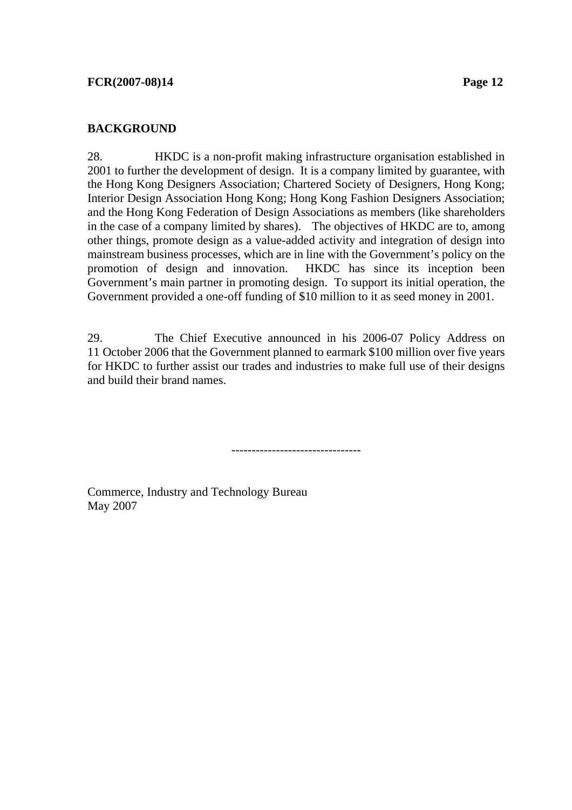### **BACKGROUND**

28. HKDC is a non-profit making infrastructure organisation established in 2001 to further the development of design. It is a company limited by guarantee, with the Hong Kong Designers Association; Chartered Society of Designers, Hong Kong; Interior Design Association Hong Kong; Hong Kong Fashion Designers Association; and the Hong Kong Federation of Design Associations as members (like shareholders in the case of a company limited by shares). The objectives of HKDC are to, among other things, promote design as a value-added activity and integration of design into mainstream business processes, which are in line with the Government's policy on the promotion of design and innovation. HKDC has since its inception been Government's main partner in promoting design. To support its initial operation, the Government provided a one-off funding of \$10 million to it as seed money in 2001.

29. The Chief Executive announced in his 2006-07 Policy Address on 11 October 2006 that the Government planned to earmark \$100 million over five years for HKDC to further assist our trades and industries to make full use of their designs and build their brand names.

--------------------------------

Commerce, Industry and Technology Bureau May 2007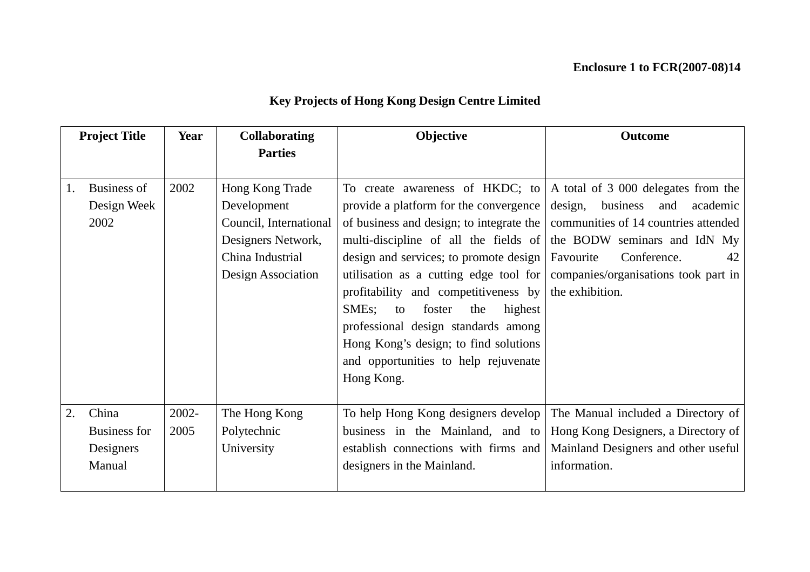| <b>Key Projects of Hong Kong Design Centre Limited</b> |  |  |
|--------------------------------------------------------|--|--|
|--------------------------------------------------------|--|--|

| <b>Project Title</b> |                                                     | Year          | <b>Collaborating</b><br><b>Parties</b>                                                                                   | <b>Objective</b>                                                                                                                                                                                                                                                                                                                                                                                                                                                                                                                                                  | <b>Outcome</b>                                                                                                                                                   |
|----------------------|-----------------------------------------------------|---------------|--------------------------------------------------------------------------------------------------------------------------|-------------------------------------------------------------------------------------------------------------------------------------------------------------------------------------------------------------------------------------------------------------------------------------------------------------------------------------------------------------------------------------------------------------------------------------------------------------------------------------------------------------------------------------------------------------------|------------------------------------------------------------------------------------------------------------------------------------------------------------------|
|                      |                                                     |               |                                                                                                                          |                                                                                                                                                                                                                                                                                                                                                                                                                                                                                                                                                                   |                                                                                                                                                                  |
| 1.                   | <b>Business of</b><br>Design Week<br>2002           | 2002          | Hong Kong Trade<br>Development<br>Council, International<br>Designers Network,<br>China Industrial<br>Design Association | To create awareness of HKDC; to $\vert$ A total of 3 000 delegates from the<br>provide a platform for the convergence  <br>of business and design; to integrate the<br>multi-discipline of all the fields of<br>design and services; to promote design  <br>utilisation as a cutting edge tool for   companies/organisations took part in<br>profitability and competitiveness by<br>SME <sub>s</sub> ;<br>foster<br>the<br>highest<br>to<br>professional design standards among<br>Hong Kong's design; to find solutions<br>and opportunities to help rejuvenate | design, business<br>academic<br>and<br>communities of 14 countries attended<br>the BODW seminars and IdN My<br>Conference.<br>Favourite<br>42<br>the exhibition. |
|                      |                                                     |               |                                                                                                                          | Hong Kong.                                                                                                                                                                                                                                                                                                                                                                                                                                                                                                                                                        |                                                                                                                                                                  |
| 2.                   | China<br><b>Business for</b><br>Designers<br>Manual | 2002-<br>2005 | The Hong Kong<br>Polytechnic<br>University                                                                               | To help Hong Kong designers develop<br>business in the Mainland, and to<br>establish connections with firms and<br>designers in the Mainland.                                                                                                                                                                                                                                                                                                                                                                                                                     | The Manual included a Directory of<br>Hong Kong Designers, a Directory of<br>Mainland Designers and other useful<br>information.                                 |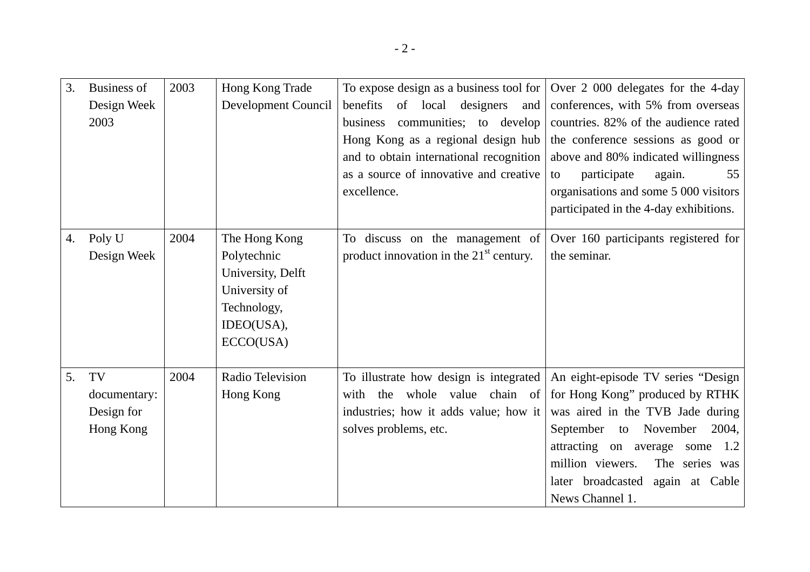| 3. | <b>Business of</b><br>Design Week<br>2003     | 2003 | Hong Kong Trade<br>Development Council                                                                       | To expose design as a business tool for<br>benefits<br>designers<br>of local<br>and<br>communities; to develop<br>business<br>Hong Kong as a regional design hub<br>and to obtain international recognition<br>as a source of innovative and creative<br>excellence. | Over 2 000 delegates for the 4-day<br>conferences, with 5% from overseas<br>countries. 82% of the audience rated<br>the conference sessions as good or<br>above and 80% indicated willingness<br>participate<br>55<br>again.<br>to<br>organisations and some 5 000 visitors<br>participated in the 4-day exhibitions. |
|----|-----------------------------------------------|------|--------------------------------------------------------------------------------------------------------------|----------------------------------------------------------------------------------------------------------------------------------------------------------------------------------------------------------------------------------------------------------------------|-----------------------------------------------------------------------------------------------------------------------------------------------------------------------------------------------------------------------------------------------------------------------------------------------------------------------|
| 4. | Poly U<br>Design Week                         | 2004 | The Hong Kong<br>Polytechnic<br>University, Delft<br>University of<br>Technology,<br>IDEO(USA),<br>ECCO(USA) | To discuss on the management of<br>product innovation in the $21st$ century.                                                                                                                                                                                         | Over 160 participants registered for<br>the seminar.                                                                                                                                                                                                                                                                  |
| 5. | TV<br>documentary:<br>Design for<br>Hong Kong | 2004 | Radio Television<br>Hong Kong                                                                                | To illustrate how design is integrated<br>with the whole value chain of<br>industries; how it adds value; how it<br>solves problems, etc.                                                                                                                            | An eight-episode TV series "Design<br>for Hong Kong" produced by RTHK<br>was aired in the TVB Jade during<br>September to<br>November<br>2004,<br>attracting on average some<br>1.2<br>million viewers.<br>The series was<br>later broadcasted<br>again at Cable<br>News Channel 1.                                   |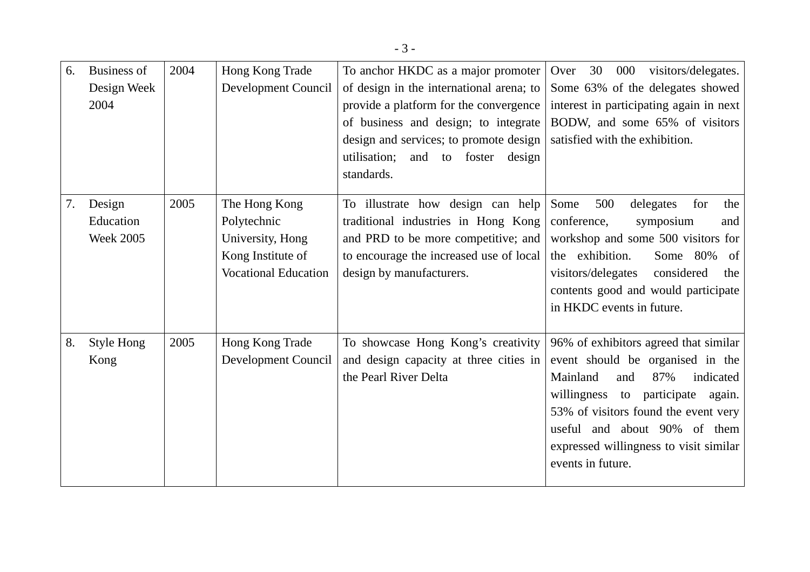| 6. | <b>Business of</b> | 2004 | Hong Kong Trade             | To anchor HKDC as a major promoter       | 30<br>000<br>visitors/delegates.<br>Over   |
|----|--------------------|------|-----------------------------|------------------------------------------|--------------------------------------------|
|    | Design Week        |      | Development Council         | of design in the international arena; to | Some 63% of the delegates showed           |
|    | 2004               |      |                             | provide a platform for the convergence   | interest in participating again in next    |
|    |                    |      |                             | of business and design; to integrate     | BODW, and some 65% of visitors             |
|    |                    |      |                             | design and services; to promote design   | satisfied with the exhibition.             |
|    |                    |      |                             | utilisation;<br>and to foster<br>design  |                                            |
|    |                    |      |                             | standards.                               |                                            |
| 7. | Design             | 2005 | The Hong Kong               | To illustrate how design can help        | Some<br>500<br>delegates<br>for<br>the     |
|    | Education          |      | Polytechnic                 | traditional industries in Hong Kong      | conference,<br>symposium<br>and            |
|    | <b>Week 2005</b>   |      | University, Hong            | and PRD to be more competitive; and      | workshop and some 500 visitors for         |
|    |                    |      | Kong Institute of           | to encourage the increased use of local  | the exhibition.<br>Some 80%<br>- of        |
|    |                    |      | <b>Vocational Education</b> | design by manufacturers.                 | visitors/delegates<br>considered<br>the    |
|    |                    |      |                             |                                          | contents good and would participate        |
|    |                    |      |                             |                                          | in HKDC events in future.                  |
| 8. | Style Hong         | 2005 | Hong Kong Trade             | To showcase Hong Kong's creativity       | 96% of exhibitors agreed that similar      |
|    | Kong               |      | Development Council         | and design capacity at three cities in   | event should be organised in the           |
|    |                    |      |                             | the Pearl River Delta                    | 87%<br>Mainland<br>indicated<br>and        |
|    |                    |      |                             |                                          | willingness<br>participate<br>to<br>again. |
|    |                    |      |                             |                                          | 53% of visitors found the event very       |
|    |                    |      |                             |                                          | useful and about 90% of them               |
|    |                    |      |                             |                                          | expressed willingness to visit similar     |
|    |                    |      |                             |                                          | events in future.                          |
|    |                    |      |                             |                                          |                                            |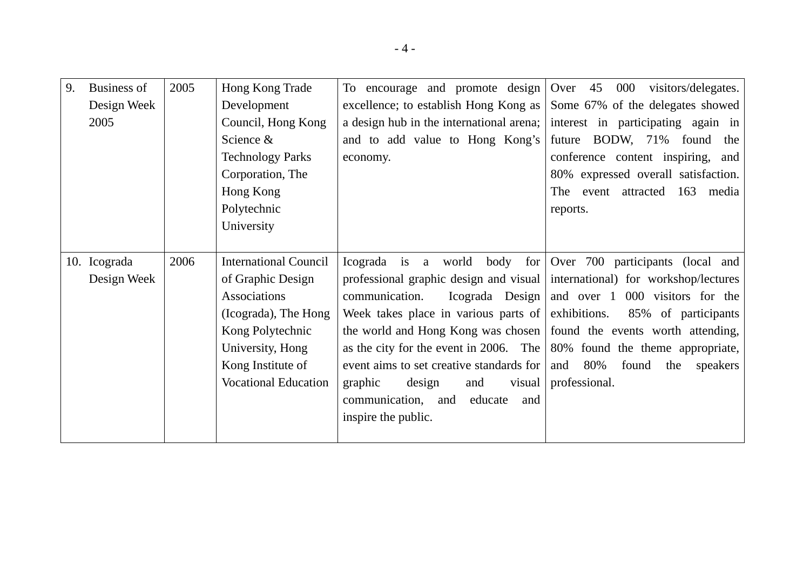| 9. | <b>Business of</b> | 2005 | Hong Kong Trade              | To encourage and promote design                                               | Over 45 000<br>visitors/delegates.        |
|----|--------------------|------|------------------------------|-------------------------------------------------------------------------------|-------------------------------------------|
|    | Design Week        |      | Development                  | excellence; to establish Hong Kong as                                         | Some 67% of the delegates showed          |
|    | 2005               |      | Council, Hong Kong           | a design hub in the international arena;                                      | interest in participating again in        |
|    |                    |      | Science &                    | and to add value to Hong Kong's                                               | future BODW, 71%<br>found<br>the          |
|    |                    |      | <b>Technology Parks</b>      | economy.                                                                      | conference content inspiring, and         |
|    |                    |      | Corporation, The             |                                                                               | 80% expressed overall satisfaction.       |
|    |                    |      | Hong Kong                    |                                                                               | attracted<br>163<br>The event<br>media    |
|    |                    |      | Polytechnic                  |                                                                               | reports.                                  |
|    |                    |      | University                   |                                                                               |                                           |
|    |                    |      |                              |                                                                               |                                           |
|    | 10. Icograda       | 2006 | <b>International Council</b> | world<br>Icograda is a                                                        | body for Over 700 participants (local and |
|    | Design Week        |      | of Graphic Design            | professional graphic design and visual   international) for workshop/lectures |                                           |
|    |                    |      | Associations                 | Icograda Design<br>communication.                                             | and over 1 000 visitors for the           |
|    |                    |      | (Icograda), The Hong         | Week takes place in various parts of exhibitions.                             | 85% of participants                       |
|    |                    |      | Kong Polytechnic             | the world and Hong Kong was chosen                                            | found the events worth attending,         |
|    |                    |      | University, Hong             | as the city for the event in 2006. The $\vert$                                | 80% found the theme appropriate,          |
|    |                    |      | Kong Institute of            | event aims to set creative standards for                                      | and $80\%$<br>found<br>the<br>speakers    |
|    |                    |      | <b>Vocational Education</b>  | design<br>graphic<br>and<br>visual                                            | professional.                             |
|    |                    |      |                              | communication, and<br>educate<br>and                                          |                                           |
|    |                    |      |                              | inspire the public.                                                           |                                           |
|    |                    |      |                              |                                                                               |                                           |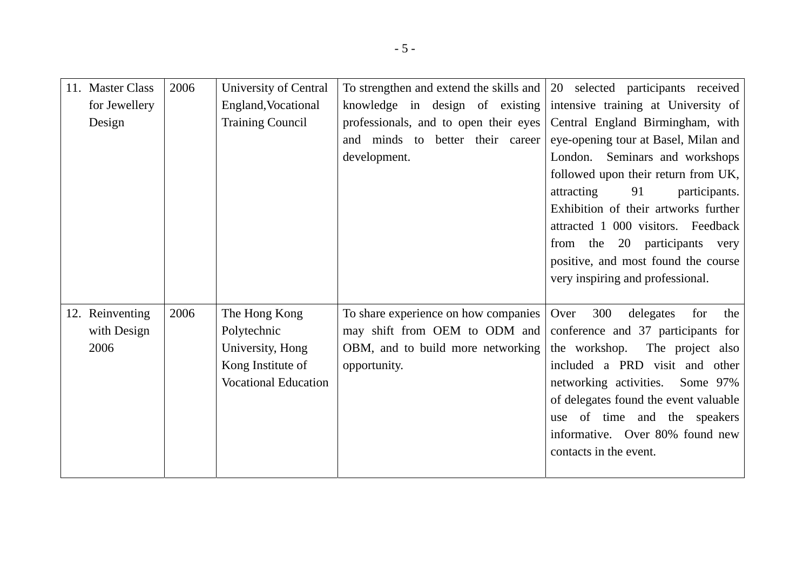| 11. Master Class | 2006 | University of Central       | To strengthen and extend the skills and 20 selected participants received |                                        |
|------------------|------|-----------------------------|---------------------------------------------------------------------------|----------------------------------------|
| for Jewellery    |      | England, Vocational         | knowledge in design of existing                                           | intensive training at University of    |
| Design           |      | <b>Training Council</b>     | professionals, and to open their eyes                                     | Central England Birmingham, with       |
|                  |      |                             | and minds to better their career                                          | eye-opening tour at Basel, Milan and   |
|                  |      |                             | development.                                                              | London. Seminars and workshops         |
|                  |      |                             |                                                                           | followed upon their return from UK,    |
|                  |      |                             |                                                                           | attracting<br>91<br>participants.      |
|                  |      |                             |                                                                           | Exhibition of their artworks further   |
|                  |      |                             |                                                                           | attracted 1 000 visitors. Feedback     |
|                  |      |                             |                                                                           | participants<br>from the<br>20<br>very |
|                  |      |                             |                                                                           | positive, and most found the course    |
|                  |      |                             |                                                                           | very inspiring and professional.       |
|                  |      |                             |                                                                           |                                        |
| 12. Reinventing  | 2006 | The Hong Kong               | To share experience on how companies                                      | 300<br>Over<br>delegates<br>for<br>the |
| with Design      |      | Polytechnic                 | may shift from OEM to ODM and                                             | conference and 37 participants for     |
| 2006             |      | University, Hong            | OBM, and to build more networking                                         | The project also<br>the workshop.      |
|                  |      | Kong Institute of           | opportunity.                                                              | included a PRD visit and other         |
|                  |      | <b>Vocational Education</b> |                                                                           | networking activities.<br>Some $97\%$  |
|                  |      |                             |                                                                           | of delegates found the event valuable  |
|                  |      |                             |                                                                           | of time and the speakers<br>use        |
|                  |      |                             |                                                                           | informative. Over 80% found new        |
|                  |      |                             |                                                                           | contacts in the event.                 |
|                  |      |                             |                                                                           |                                        |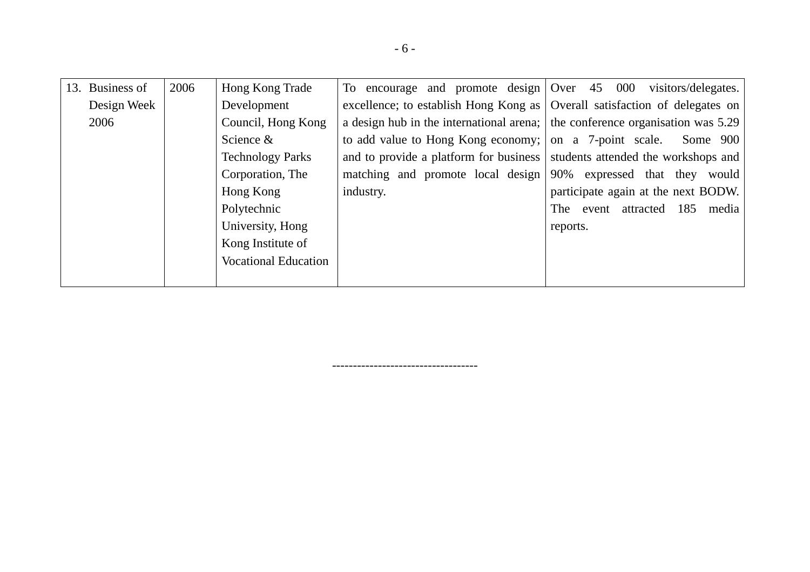| 13. Business of | 2006 | Hong Kong Trade             | To encourage and promote design $\sqrt{0}$ Over 45                           | 000<br>visitors/delegates.           |
|-----------------|------|-----------------------------|------------------------------------------------------------------------------|--------------------------------------|
| Design Week     |      | Development                 | excellence; to establish Hong Kong as   Overall satisfaction of delegates on |                                      |
| 2006            |      | Council, Hong Kong          | a design hub in the international arena;                                     | the conference organisation was 5.29 |
|                 |      | Science $&$                 | to add value to Hong Kong economy; on a 7-point scale.                       | Some 900                             |
|                 |      | <b>Technology Parks</b>     | and to provide a platform for business                                       | students attended the workshops and  |
|                 |      | Corporation, The            | matching and promote local design                                            | 90% expressed that they would        |
|                 |      | Hong Kong                   | industry.                                                                    | participate again at the next BODW.  |
|                 |      | Polytechnic                 |                                                                              | event attracted 185 media<br>The     |
|                 |      | University, Hong            |                                                                              | reports.                             |
|                 |      | Kong Institute of           |                                                                              |                                      |
|                 |      | <b>Vocational Education</b> |                                                                              |                                      |
|                 |      |                             |                                                                              |                                      |

-----------------------------------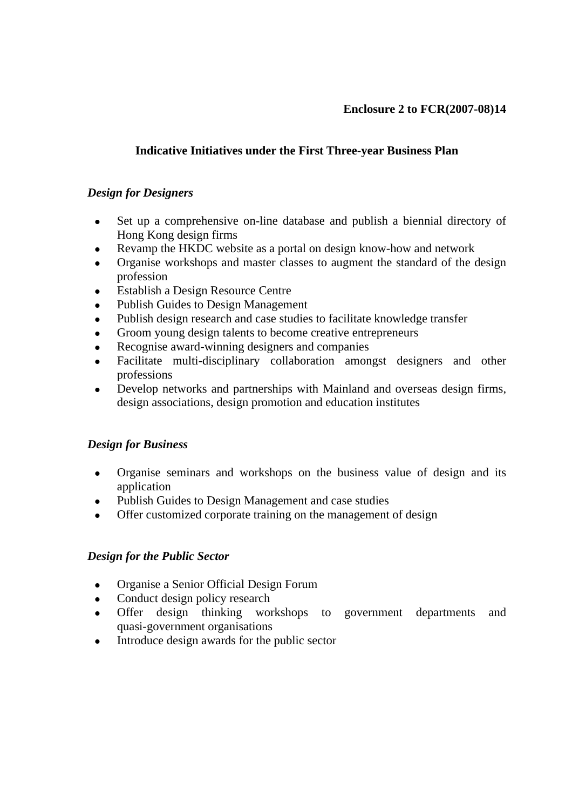# **Indicative Initiatives under the First Three-year Business Plan**

### *Design for Designers*

- Set up a comprehensive on-line database and publish a biennial directory of Hong Kong design firms
- Revamp the HKDC website as a portal on design know-how and network
- Organise workshops and master classes to augment the standard of the design profession
- Establish a Design Resource Centre
- Publish Guides to Design Management
- Publish design research and case studies to facilitate knowledge transfer
- Groom young design talents to become creative entrepreneurs
- Recognise award-winning designers and companies
- Facilitate multi-disciplinary collaboration amongst designers and other professions
- Develop networks and partnerships with Mainland and overseas design firms, design associations, design promotion and education institutes

## *Design for Business*

- Organise seminars and workshops on the business value of design and its application
- Publish Guides to Design Management and case studies
- Offer customized corporate training on the management of design

## *Design for the Public Sector*

- Organise a Senior Official Design Forum
- Conduct design policy research
- Offer design thinking workshops to government departments and quasi-government organisations
- Introduce design awards for the public sector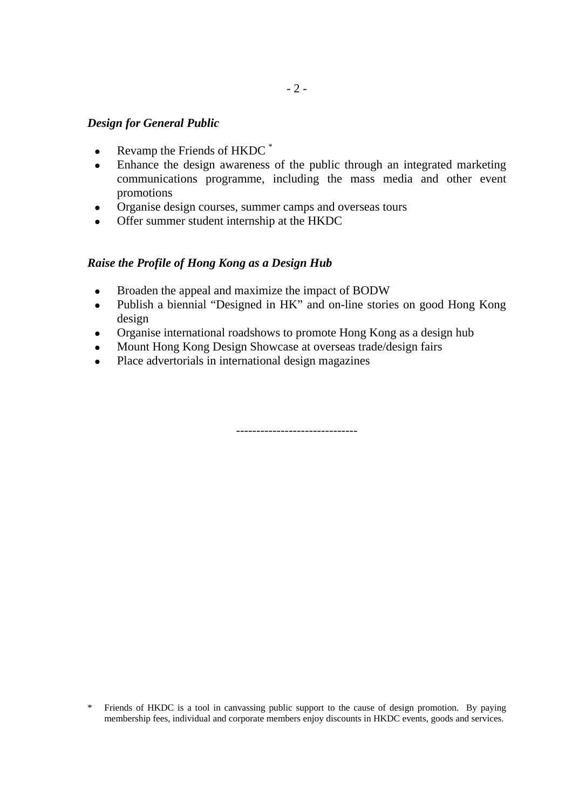### *Design for General Public*

- Revamp the Friends of  $HKDC$ <sup>\*</sup>
- Enhance the design awareness of the public through an integrated marketing communications programme, including the mass media and other event promotions
- Organise design courses, summer camps and overseas tours
- Offer summer student internship at the HKDC

### *Raise the Profile of Hong Kong as a Design Hub*

- Broaden the appeal and maximize the impact of BODW
- Publish a biennial "Designed in HK" and on-line stories on good Hong Kong design
- Organise international roadshows to promote Hong Kong as a design hub
- Mount Hong Kong Design Showcase at overseas trade/design fairs
- Place advertorials in international design magazines

------------------------------

\* Friends of HKDC is a tool in canvassing public support to the cause of design promotion. By paying membership fees, individual and corporate members enjoy discounts in HKDC events, goods and services.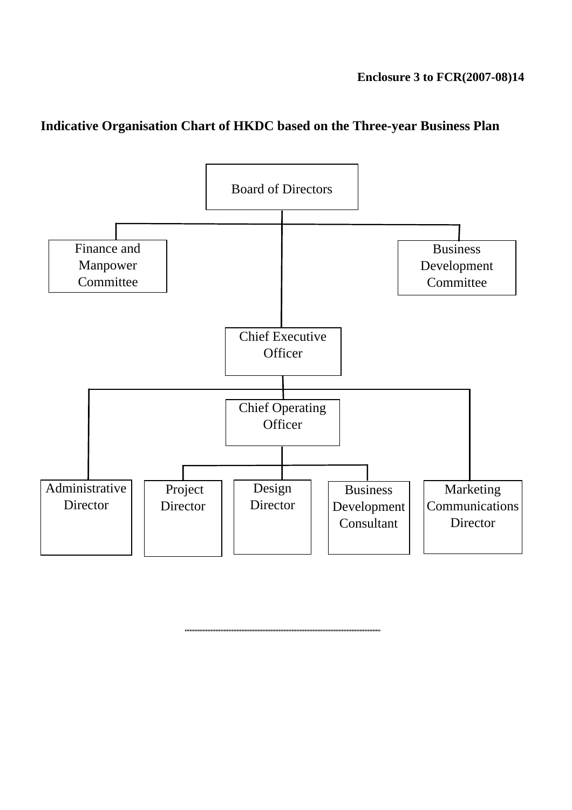# **Indicative Organisation Chart of HKDC based on the Three-year Business Plan**

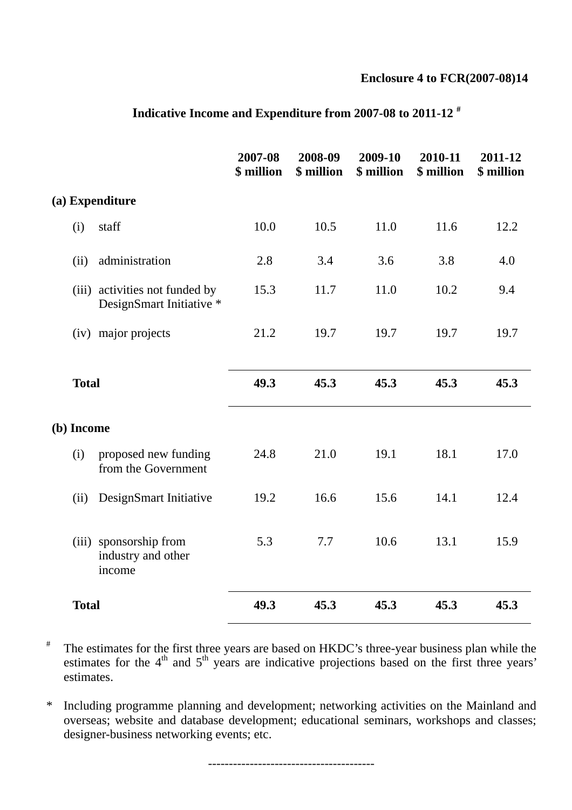### **Enclosure 4 to FCR(2007-08)14**

|            |                                                            | 2007-08<br>\$ million | 2008-09<br>\$ million | 2009-10<br>\$ million | 2010-11<br>\$ million | 2011-12<br>\$ million |
|------------|------------------------------------------------------------|-----------------------|-----------------------|-----------------------|-----------------------|-----------------------|
|            | (a) Expenditure                                            |                       |                       |                       |                       |                       |
| (i)        | staff                                                      | 10.0                  | 10.5                  | 11.0                  | 11.6                  | 12.2                  |
| (ii)       | administration                                             | 2.8                   | 3.4                   | 3.6                   | 3.8                   | 4.0                   |
|            | (iii) activities not funded by<br>DesignSmart Initiative * | 15.3                  | 11.7                  | 11.0                  | 10.2                  | 9.4                   |
|            | (iv) major projects                                        | 21.2                  | 19.7                  | 19.7                  | 19.7                  | 19.7                  |
|            | <b>Total</b>                                               | 49.3                  | 45.3                  | 45.3                  | 45.3                  | 45.3                  |
| (b) Income |                                                            |                       |                       |                       |                       |                       |
| (i)        | proposed new funding<br>from the Government                | 24.8                  | 21.0                  | 19.1                  | 18.1                  | 17.0                  |
| (ii)       | DesignSmart Initiative                                     | 19.2                  | 16.6                  | 15.6                  | 14.1                  | 12.4                  |
|            | (iii) sponsorship from<br>industry and other<br>income     | 5.3                   | 7.7                   | 10.6                  | 13.1                  | 15.9                  |
|            | <b>Total</b>                                               | 49.3                  | 45.3                  | 45.3                  | 45.3                  | 45.3                  |

# **Indicative Income and Expenditure from 2007-08 to 2011-12 #**

# The estimates for the first three years are based on HKDC's three-year business plan while the estimates for the  $4<sup>th</sup>$  and  $5<sup>th</sup>$  years are indicative projections based on the first three years' estimates.

\* Including programme planning and development; networking activities on the Mainland and overseas; website and database development; educational seminars, workshops and classes; designer-business networking events; etc.

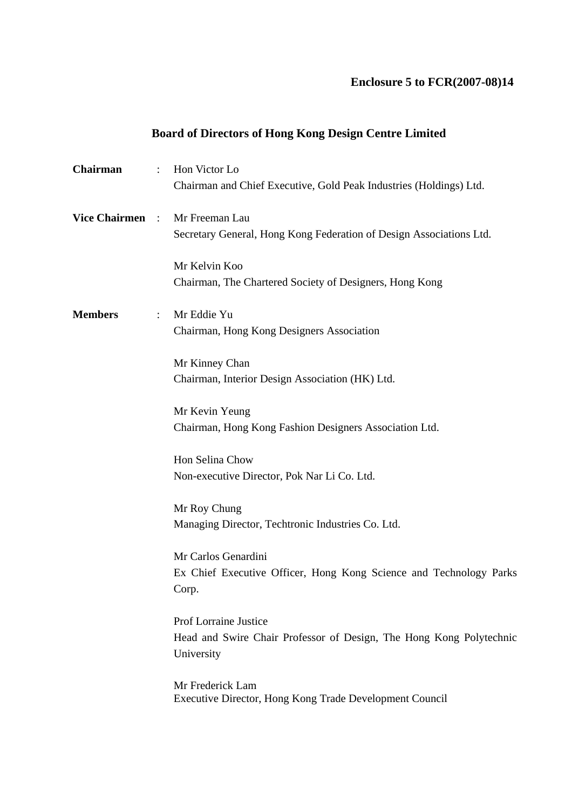# **Enclosure 5 to FCR(2007-08)14**

# **Board of Directors of Hong Kong Design Centre Limited**

| $\ddot{\phantom{a}}$   | Hon Victor Lo<br>Chairman and Chief Executive, Gold Peak Industries (Holdings) Ltd.                        |
|------------------------|------------------------------------------------------------------------------------------------------------|
| <b>Vice Chairmen</b> : | Mr Freeman Lau<br>Secretary General, Hong Kong Federation of Design Associations Ltd.                      |
|                        | Mr Kelvin Koo<br>Chairman, The Chartered Society of Designers, Hong Kong                                   |
| $\ddot{\cdot}$         | Mr Eddie Yu<br>Chairman, Hong Kong Designers Association                                                   |
|                        | Mr Kinney Chan<br>Chairman, Interior Design Association (HK) Ltd.                                          |
|                        | Mr Kevin Yeung<br>Chairman, Hong Kong Fashion Designers Association Ltd.                                   |
|                        | Hon Selina Chow<br>Non-executive Director, Pok Nar Li Co. Ltd.                                             |
|                        | Mr Roy Chung<br>Managing Director, Techtronic Industries Co. Ltd.                                          |
|                        | Mr Carlos Genardini<br>Ex Chief Executive Officer, Hong Kong Science and Technology Parks<br>Corp.         |
|                        | Prof Lorraine Justice<br>Head and Swire Chair Professor of Design, The Hong Kong Polytechnic<br>University |
|                        | Mr Frederick Lam<br>Executive Director, Hong Kong Trade Development Council                                |
|                        |                                                                                                            |